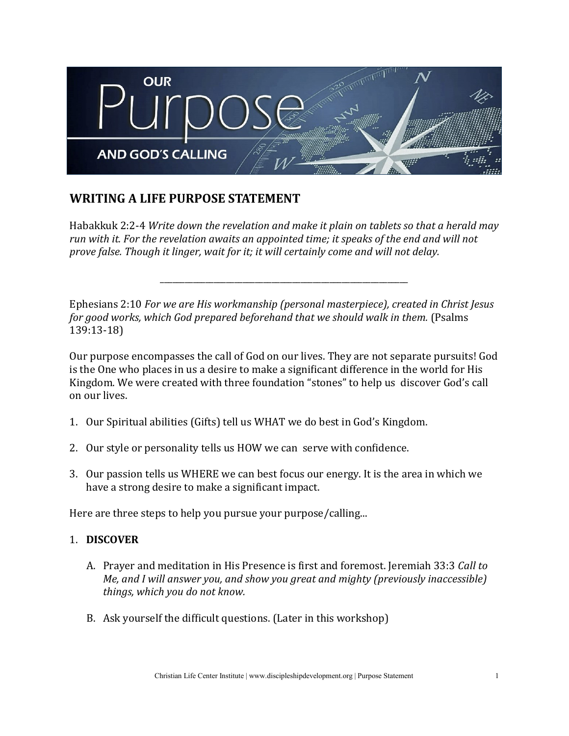

# **WRITING A LIFE PURPOSE STATEMENT**

Habakkuk 2:2-4 *Write down the revelation and make it plain on tablets so that a herald may run with it. For the revelation awaits an appointed time; it speaks of the end and will not prove false. Though it linger, wait for it; it will certainly come and will not delay.*

\_\_\_\_\_\_\_\_\_\_\_\_\_\_\_\_\_\_\_\_\_\_\_\_\_\_\_\_\_\_\_\_\_\_\_\_\_\_\_\_\_\_\_\_\_\_\_\_\_\_\_\_\_\_\_\_\_\_\_\_

Ephesians 2:10 *For we are His workmanship (personal masterpiece), created in Christ Jesus for good works, which God prepared beforehand that we should walk in them.* (Psalms 139:13-18)

Our purpose encompasses the call of God on our lives. They are not separate pursuits! God is the One who places in us a desire to make a significant difference in the world for His Kingdom. We were created with three foundation "stones" to help us discover God's call on our lives.

- 1. Our Spiritual abilities (Gifts) tell us WHAT we do best in God's Kingdom.
- 2. Our style or personality tells us HOW we can serve with confidence.
- 3. Our passion tells us WHERE we can best focus our energy. It is the area in which we have a strong desire to make a significant impact.

Here are three steps to help you pursue your purpose/calling...

## 1. **DISCOVER**

- A. Prayer and meditation in His Presence is first and foremost. Jeremiah 33:3 *Call to Me, and I will answer you, and show you great and mighty (previously inaccessible) things, which you do not know.*
- B. Ask yourself the difficult questions. (Later in this workshop)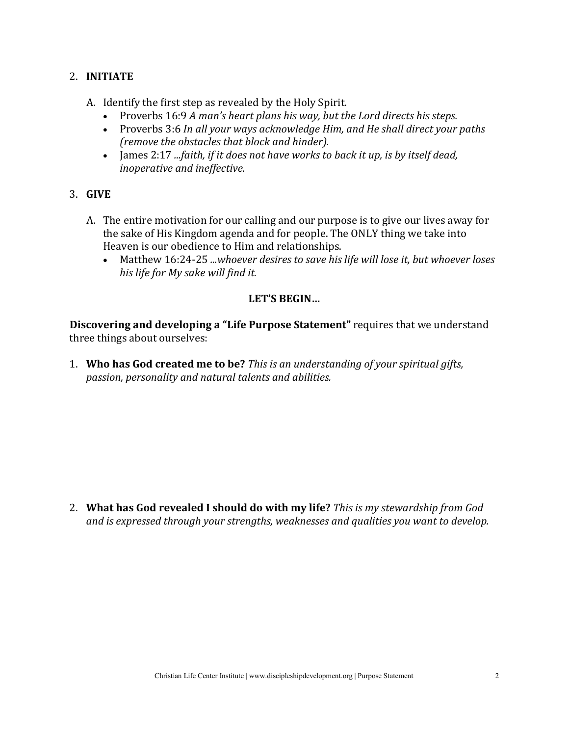## 2. **INITIATE**

- A. Identify the first step as revealed by the Holy Spirit.
	- Proverbs 16:9 *A man's heart plans his way, but the Lord directs his steps.*
	- Proverbs 3:6 *In all your ways acknowledge Him, and He shall direct your paths (remove the obstacles that block and hinder).*
	- James 2:17 *...faith, if it does not have works to back it up, is by itself dead, inoperative and ineffective.*
- 3. **GIVE**
	- A. The entire motivation for our calling and our purpose is to give our lives away for the sake of His Kingdom agenda and for people. The ONLY thing we take into Heaven is our obedience to Him and relationships.
		- Matthew 16:24-25 *...whoever desires to save his life will lose it, but whoever loses his life for My sake will find it.*

## **LET'S BEGIN…**

**Discovering and developing a "Life Purpose Statement"** requires that we understand three things about ourselves:

1. **Who has God created me to be?** *This is an understanding of your spiritual gifts, passion, personality and natural talents and abilities.*

2. **What has God revealed I should do with my life?** *This is my stewardship from God and is expressed through your strengths, weaknesses and qualities you want to develop.*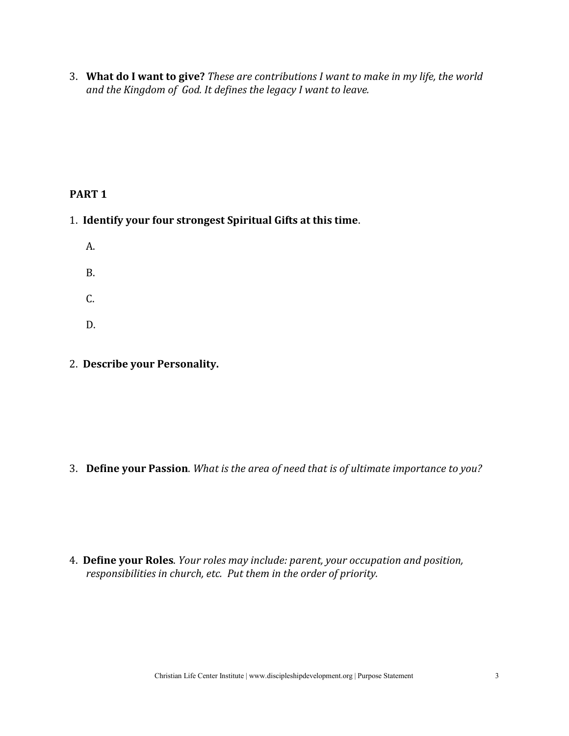3. **What do I want to give?** *These are contributions I want to make in my life, the world and the Kingdom of God. It defines the legacy I want to leave.*

## **PART 1**

- 1. **Identify your four strongest Spiritual Gifts at this time**.
	- A. B. C. D.
- 2. **Describe your Personality.**

3. **Define your Passion**. *What is the area of need that is of ultimate importance to you?* 

4. **Define your Roles**. *Your roles may include: parent, your occupation and position, responsibilities in church, etc. Put them in the order of priority.*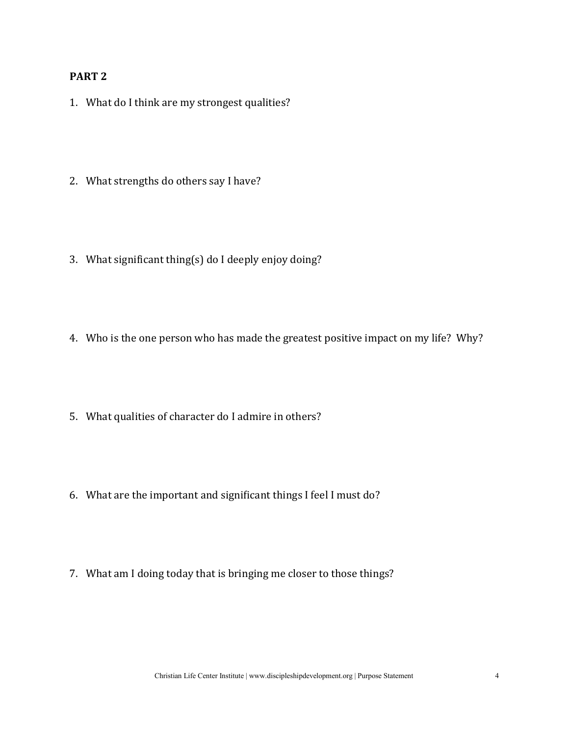#### **PART 2**

- 1. What do I think are my strongest qualities?
- 2. What strengths do others say I have?
- 3. What significant thing(s) do I deeply enjoy doing?
- 4. Who is the one person who has made the greatest positive impact on my life? Why?
- 5. What qualities of character do I admire in others?
- 6. What are the important and significant things I feel I must do?
- 7. What am I doing today that is bringing me closer to those things?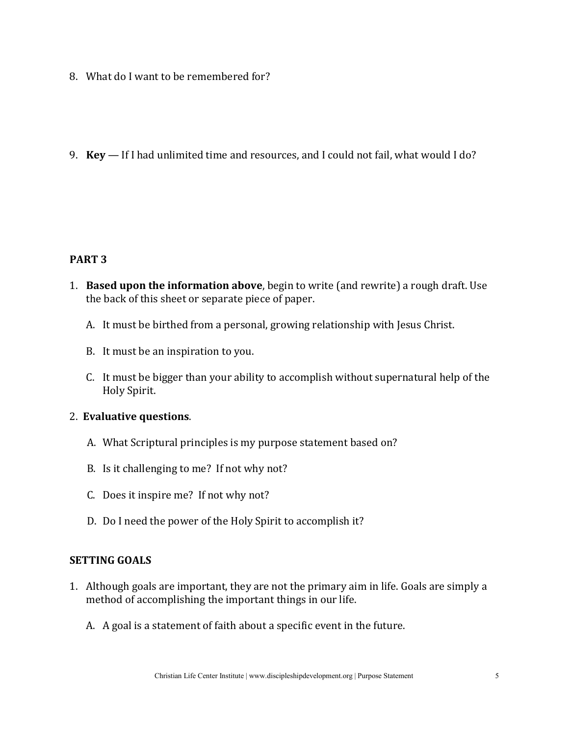- 8. What do I want to be remembered for?
- 9. **Key**  If I had unlimited time and resources, and I could not fail, what would I do?

## **PART 3**

- 1. **Based upon the information above**, begin to write (and rewrite) a rough draft. Use the back of this sheet or separate piece of paper.
	- A. It must be birthed from a personal, growing relationship with Jesus Christ.
	- B. It must be an inspiration to you.
	- C. It must be bigger than your ability to accomplish without supernatural help of the Holy Spirit.

#### 2. **Evaluative questions**.

- A. What Scriptural principles is my purpose statement based on?
- B. Is it challenging to me? If not why not?
- C. Does it inspire me? If not why not?
- D. Do I need the power of the Holy Spirit to accomplish it?

#### **SETTING GOALS**

- 1. Although goals are important, they are not the primary aim in life. Goals are simply a method of accomplishing the important things in our life.
	- A. A goal is a statement of faith about a specific event in the future.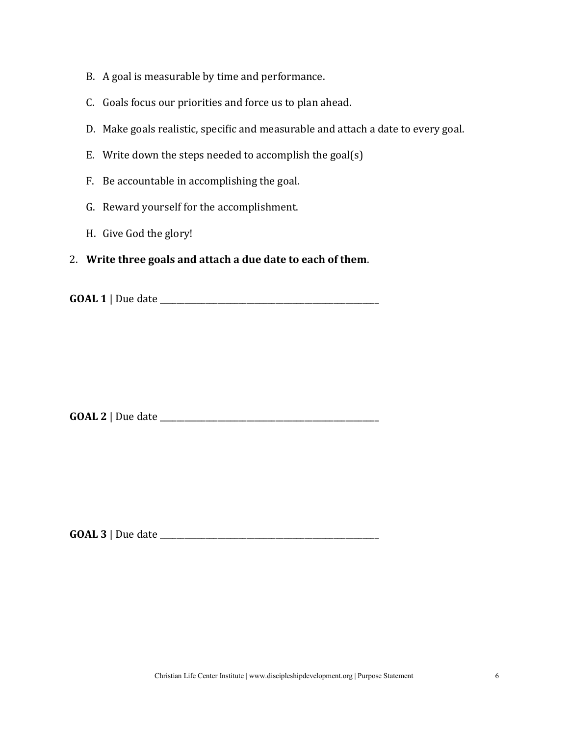- B. A goal is measurable by time and performance.
- C. Goals focus our priorities and force us to plan ahead.
- D. Make goals realistic, specific and measurable and attach a date to every goal.
- E. Write down the steps needed to accomplish the goal(s)
- F. Be accountable in accomplishing the goal.
- G. Reward yourself for the accomplishment.
- H. Give God the glory!
- 2. **Write three goals and attach a due date to each of them**.

**GOAL 1** | Due date \_\_\_\_\_\_\_\_\_\_\_\_\_\_\_\_\_\_\_\_\_\_\_\_\_\_\_\_\_\_\_\_\_\_\_\_\_\_\_\_\_\_\_\_\_\_\_\_\_\_\_\_\_

**GOAL 2** | Due date \_\_\_\_\_\_\_\_\_\_\_\_\_\_\_\_\_\_\_\_\_\_\_\_\_\_\_\_\_\_\_\_\_\_\_\_\_\_\_\_\_\_\_\_\_\_\_\_\_\_\_\_\_

**GOAL 3** | Due date \_\_\_\_\_\_\_\_\_\_\_\_\_\_\_\_\_\_\_\_\_\_\_\_\_\_\_\_\_\_\_\_\_\_\_\_\_\_\_\_\_\_\_\_\_\_\_\_\_\_\_\_\_